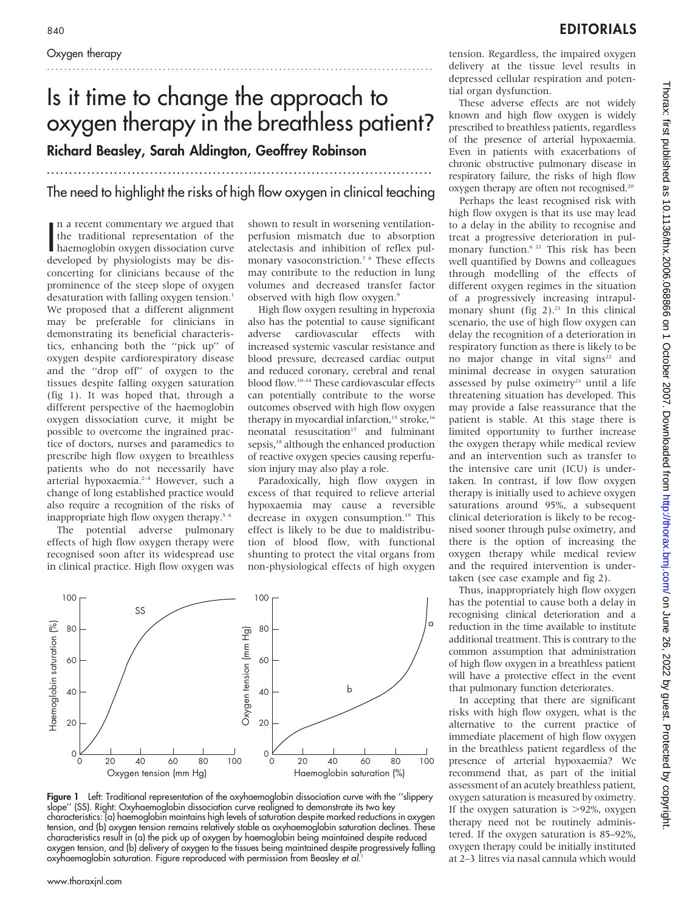# Is it time to change the approach to oxygen therapy in the breathless patient? Richard Beasley, Sarah Aldington, Geoffrey Robinson

# ...................................................................................... The need to highlight the risks of high flow oxygen in clinical teaching

In a recent commentary we argued that<br>the traditional representation of the<br>haemoglobin oxygen dissociation curve<br>developed by physiologists may be disn a recent commentary we argued that the traditional representation of the developed by physiologists may be disconcerting for clinicians because of the prominence of the steep slope of oxygen desaturation with falling oxygen tension.<sup>1</sup> We proposed that a different alignment may be preferable for clinicians in demonstrating its beneficial characteristics, enhancing both the ''pick up'' of oxygen despite cardiorespiratory disease and the ''drop off'' of oxygen to the tissues despite falling oxygen saturation (fig 1). It was hoped that, through a different perspective of the haemoglobin oxygen dissociation curve, it might be possible to overcome the ingrained practice of doctors, nurses and paramedics to prescribe high flow oxygen to breathless patients who do not necessarily have arterial hypoxaemia.2–4 However, such a change of long established practice would also require a recognition of the risks of inappropriate high flow oxygen therapy.<sup>5 6</sup>

The potential adverse pulmonary effects of high flow oxygen therapy were recognised soon after its widespread use in clinical practice. High flow oxygen was

shown to result in worsening ventilationperfusion mismatch due to absorption atelectasis and inhibition of reflex pulmonary vasoconstriction.<sup>7</sup><sup>8</sup> These effects may contribute to the reduction in lung volumes and decreased transfer factor observed with high flow oxygen.9

High flow oxygen resulting in hyperoxia also has the potential to cause significant adverse cardiovascular effects with increased systemic vascular resistance and blood pressure, decreased cardiac output and reduced coronary, cerebral and renal blood flow.10–14 These cardiovascular effects can potentially contribute to the worse outcomes observed with high flow oxygen therapy in myocardial infarction,<sup>15</sup> stroke,<sup>16</sup>  $n$ eonatal resuscitation<sup>17</sup> and fulminant sepsis,<sup>18</sup> although the enhanced production of reactive oxygen species causing reperfusion injury may also play a role.

Paradoxically, high flow oxygen in excess of that required to relieve arterial hypoxaemia may cause a reversible decrease in oxygen consumption.<sup>19</sup> This effect is likely to be due to maldistribution of blood flow, with functional shunting to protect the vital organs from non-physiological effects of high oxygen



Figure 1 Left: Traditional representation of the oxyhaemoglobin dissociation curve with the "slippery slope'' (SS). Right: Oxyhaemoglobin dissociation curve realigned to demonstrate its two key characteristics: (a) haemoglobin maintains high levels of saturation despite marked reductions in oxygen tension, and (b) oxygen tension remains relatively stable as oxyhaemoglobin saturation declines. These characteristics result in (a) the pick up of oxygen by haemoglobin being maintained despite reduced oxygen tension, and (b) delivery of oxygen to the tissues being maintained despite progressively falling oxyhaemoglobin saturation. Figure reproduced with permission from Beasley et al. 1

tension. Regardless, the impaired oxygen delivery at the tissue level results in depressed cellular respiration and potential organ dysfunction.

These adverse effects are not widely known and high flow oxygen is widely prescribed to breathless patients, regardless of the presence of arterial hypoxaemia. Even in patients with exacerbations of chronic obstructive pulmonary disease in respiratory failure, the risks of high flow oxygen therapy are often not recognised.<sup>20</sup>

Perhaps the least recognised risk with high flow oxygen is that its use may lead to a delay in the ability to recognise and treat a progressive deterioration in pulmonary function.6 21 This risk has been well quantified by Downs and colleagues through modelling of the effects of different oxygen regimes in the situation of a progressively increasing intrapulmonary shunt (fig  $2$ ).<sup>21</sup> In this clinical scenario, the use of high flow oxygen can delay the recognition of a deterioration in respiratory function as there is likely to be no major change in vital signs<sup>22</sup> and minimal decrease in oxygen saturation assessed by pulse oximetry<sup>23</sup> until a life threatening situation has developed. This may provide a false reassurance that the patient is stable. At this stage there is limited opportunity to further increase the oxygen therapy while medical review and an intervention such as transfer to the intensive care unit (ICU) is undertaken. In contrast, if low flow oxygen therapy is initially used to achieve oxygen saturations around 95%, a subsequent clinical deterioration is likely to be recognised sooner through pulse oximetry, and there is the option of increasing the oxygen therapy while medical review and the required intervention is undertaken (see case example and fig 2).

Thus, inappropriately high flow oxygen has the potential to cause both a delay in recognising clinical deterioration and a reduction in the time available to institute additional treatment. This is contrary to the common assumption that administration of high flow oxygen in a breathless patient will have a protective effect in the event that pulmonary function deteriorates.

In accepting that there are significant risks with high flow oxygen, what is the alternative to the current practice of immediate placement of high flow oxygen in the breathless patient regardless of the presence of arterial hypoxaemia? We recommend that, as part of the initial assessment of an acutely breathless patient, oxygen saturation is measured by oximetry. If the oxygen saturation is  $>92\%$ , oxygen therapy need not be routinely administered. If the oxygen saturation is 85–92%, oxygen therapy could be initially instituted at 2–3 litres via nasal cannula which would